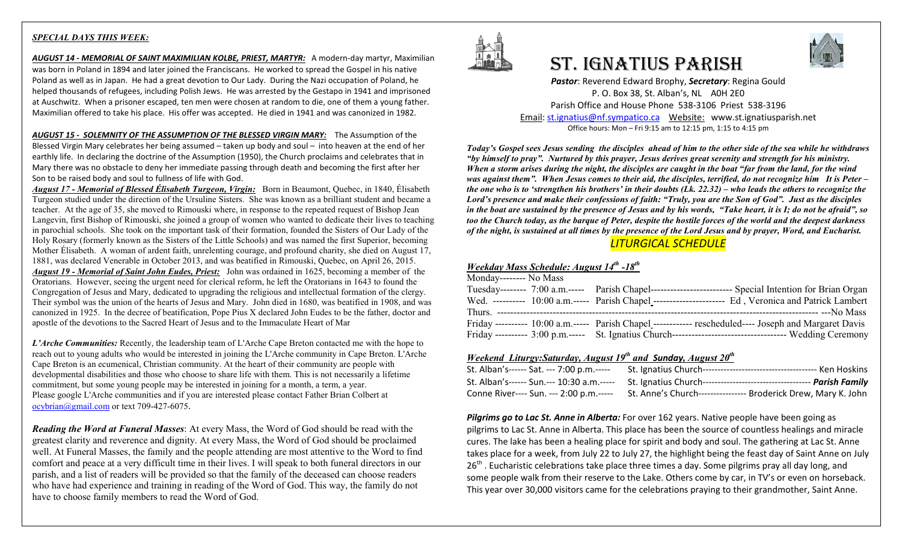#### *SPECIAL DAYS THIS WEEK:*

*AUGUST 14 - MEMORIAL OF SAINT MAXIMILIAN KOLBE, PRIEST, MARTYR:* A modern-day martyr, Maximilian was born in Poland in 1894 and later joined the Franciscans. He worked to spread the Gospel in his native Poland as well as in Japan. He had a great devotion to Our Lady. During the Nazi occupation of Poland, he helped thousands of refugees, including Polish Jews. He was arrested by the Gestapo in 1941 and imprisoned at Auschwitz. When a prisoner escaped, ten men were chosen at random to die, one of them a young father. Maximilian offered to take his place. His offer was accepted. He died in 1941 and was canonized in 1982.

*AUGUST 15 - SOLEMNITY OF THE ASSUMPTION OF THE BLESSED VIRGIN MARY:* The Assumption of the Blessed Virgin Mary celebrates her being assumed – taken up body and soul – into heaven at the end of her earthly life. In declaring the doctrine of the Assumption (1950), the Church proclaims and celebrates that in Mary there was no obstacle to deny her immediate passing through death and becoming the first after her Son to be raised body and soul to fullness of life with God.

*August 17 - Memorial of Blessed Élisabeth Turgeon, Virgin:* Born in Beaumont, Quebec, in 1840, Élisabeth Turgeon studied under the direction of the Ursuline Sisters. She was known as a brilliant student and became a teacher. At the age of 35, she moved to Rimouski where, in response to the repeated request of Bishop Jean Langevin, first Bishop of Rimouski, she joined a group of women who wanted to dedicate their lives to teaching in parochial schools. She took on the important task of their formation, founded the Sisters of Our Lady of the Holy Rosary (formerly known as the Sisters of the Little Schools) and was named the first Superior, becoming Mother Élisabeth. A woman of ardent faith, unrelenting courage, and profound charity, she died on August 17, 1881, was declared Venerable in October 2013, and was beatified in Rimouski, Quebec, on April 26, 2015. *August 19 - Memorial of Saint John Eudes, Priest:* John was ordained in 1625, becoming a member of the Oratorians. However, seeing the urgent need for clerical reform, he left the Oratorians in 1643 to found the Congregation of Jesus and Mary, dedicated to upgrading the religious and intellectual formation of the clergy. Their symbol was the union of the hearts of Jesus and Mary. John died in 1680, was beatified in 1908, and was canonized in 1925. In the decree of beatification, Pope Pius X declared John Eudes to be the father, doctor and apostle of the devotions to the Sacred Heart of Jesus and to the Immaculate Heart of Mar

*L'Arche Communities:* Recently, the leadership team of L'Arche Cape Breton contacted me with the hope to reach out to young adults who would be interested in joining the L'Arche community in Cape Breton. L'Arche Cape Breton is an ecumenical, Christian community. At the heart of their community are people with developmental disabilities and those who choose to share life with them. This is not necessarily a lifetime commitment, but some young people may be interested in joining for a month, a term, a year. Please google L'Arche communities and if you are interested please contact Father Brian Colbert at [ocybrian@gmail.com](mailto:ocybrian@gmail.com) or text 709-427-6075.

*Reading the Word at Funeral Masses*: At every Mass, the Word of God should be read with the greatest clarity and reverence and dignity. At every Mass, the Word of God should be proclaimed well. At Funeral Masses, the family and the people attending are most attentive to the Word to find comfort and peace at a very difficult time in their lives. I will speak to both funeral directors in our parish, and a list of readers will be provided so that the family of the deceased can choose readers who have had experience and training in reading of the Word of God. This way, the family do not have to choose family members to read the Word of God.



# St. IgnAtIuS PArISh



*Pastor*: Reverend Edward Brophy, *Secretary*: Regina Gould P. O. Box 38, St. Alban's, NL A0H 2E0 Parish Office and House Phone 538-3106 Priest 538-3196 Email[: st.ignatius@nf.sympatico.ca](mailto:st.ignatius@nf.sympatico.ca) Website: www.st.ignatiusparish.net Office hours: Mon – Fri 9:15 am to 12:15 pm, 1:15 to 4:15 pm

*Today's Gospel sees Jesus sending the disciples ahead of him to the other side of the sea while he withdraws "by himself to pray". Nurtured by this prayer, Jesus derives great serenity and strength for his ministry. When a storm arises during the night, the disciples are caught in the boat "far from the land, for the wind was against them". When Jesus comes to their aid, the disciples, terrified, do not recognize him It is Peter – the one who is to 'strengthen his brothers' in their doubts (Lk. 22.32) – who leads the others to recognize the Lord's presence and make their confessions of faith: "Truly, you are the Son of God". Just as the disciples in the boat are sustained by the presence of Jesus and by his words, "Take heart, it is I; do not be afraid", so too the Church today, as the barque of Peter, despite the hostile forces of the world and the deepest darkness of the night, is sustained at all times by the presence of the Lord Jesus and by prayer, Word, and Eucharist. LITURGICAL SCHEDULE*

#### *Weekday Mass Schedule: August 14th -18th*

| Monday-------- No Mass |  |                                                                                                         |
|------------------------|--|---------------------------------------------------------------------------------------------------------|
|                        |  | Tuesday-------- 7:00 a.m.----- Parish Chapel------------------------- Special Intention for Brian Organ |
|                        |  | Wed. ---------- 10:00 a.m.----- Parish Chapel ----------------------- Ed, Veronica and Patrick Lambert  |
|                        |  |                                                                                                         |
|                        |  | Friday ---------- 10:00 a.m.----- Parish Chapel ------------ rescheduled---- Joseph and Margaret Davis  |
|                        |  |                                                                                                         |

## *Weekend Liturgy:Saturday, August 19th and Sunday, August 20th*

| St. Alban's------ Sat. --- 7:00 p.m.----- | St. Ignatius Church-----                                       |
|-------------------------------------------|----------------------------------------------------------------|
| St. Alban's------ Sun.--- 10:30 a.m.----- |                                                                |
| Conne River---- Sun. --- 2:00 p.m.-----   | St. Anne's Church---------------- Broderick Drew, Mary K. John |

*Pilgrims go to Lac St. Anne in Alberta:* For over 162 years. Native people have been going as pilgrims to Lac St. Anne in Alberta. This place has been the source of countless healings and miracle cures. The lake has been a healing place for spirit and body and soul. The gathering at Lac St. Anne takes place for a week, from July 22 to July 27, the highlight being the feast day of Saint Anne on July 26<sup>th</sup>. Eucharistic celebrations take place three times a day. Some pilgrims pray all day long, and some people walk from their reserve to the Lake. Others come by car, in TV's or even on horseback. This year over 30,000 visitors came for the celebrations praying to their grandmother, Saint Anne.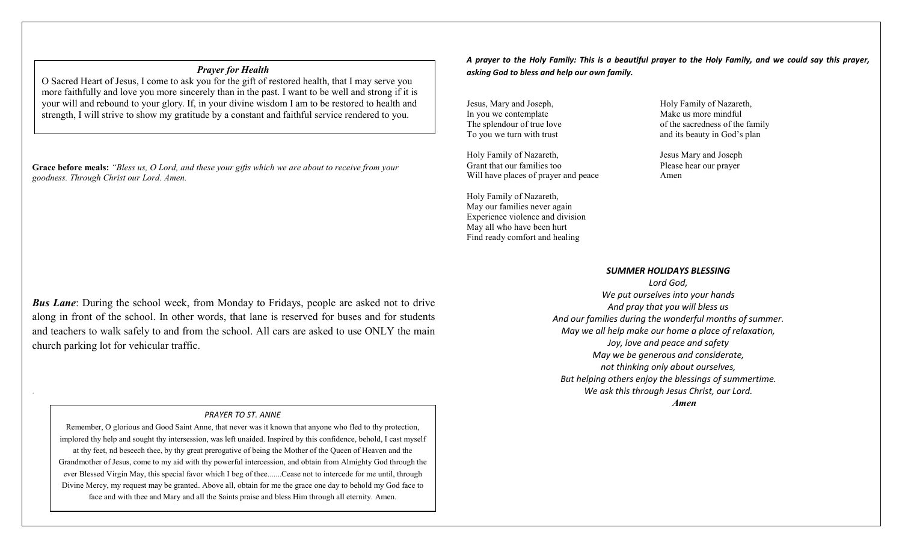#### *Prayer for Health*

O Sacred Heart of Jesus, I come to ask you for the gift of restored health, that I may serve you more faithfully and love you more sincerely than in the past. I want to be well and strong if it is your will and rebound to your glory. If, in your divine wisdom I am to be restored to health and strength, I will strive to show my gratitude by a constant and faithful service rendered to you.

**Grace before meals:** *"Bless us, O Lord, and these your gifts which we are about to receive from your goodness. Through Christ our Lord. Amen.*

*Bus Lane*: During the school week, from Monday to Fridays, people are asked not to drive along in front of the school. In other words, that lane is reserved for buses and for students and teachers to walk safely to and from the school. All cars are asked to use ONLY the main church parking lot for vehicular traffic.

.

#### *PRAYER TO ST. ANNE*

face and with thee and Mary and all the Saints praise and bless Him through all eternity. Amen. Remember, O glorious and Good Saint Anne, that never was it known that anyone who fled to thy protection, implored thy help and sought thy intersession, was left unaided. Inspired by this confidence, behold, I cast myself at thy feet, nd beseech thee, by thy great prerogative of being the Mother of the Queen of Heaven and the Grandmother of Jesus, come to my aid with thy powerful intercession, and obtain from Almighty God through the ever Blessed Virgin May, this special favor which I beg of thee.......Cease not to intercede for me until, through Divine Mercy, my request may be granted. Above all, obtain for me the grace one day to behold my God face to

*A prayer to the Holy Family: This is a beautiful prayer to the Holy Family, and we could say this prayer, asking God to bless and help our own family.* 

Jesus, Mary and Joseph, Holy Family of Nazareth, In you we contemplate  $\blacksquare$ The splendour of true love

Holy Family of Nazareth, Jesus Mary and Joseph Grant that our families too Please hear our prayer Will have places of prayer and peace Amen

Holy Family of Nazareth, May our families never again Experience violence and division May all who have been hurt Find ready comfort and healing

In you we contemplate  $\blacksquare$  Make us more mindful<br>The splendour of true love of the sacredness of the family To you we turn with trust and its beauty in God's plan

#### *SUMMER HOLIDAYS BLESSING*

*Lord God, We put ourselves into your hands And pray that you will bless us And our families during the wonderful months of summer. May we all help make our home a place of relaxation, Joy, love and peace and safety May we be generous and considerate, not thinking only about ourselves, But helping others enjoy the blessings of summertime. We ask this through Jesus Christ, our Lord. Amen*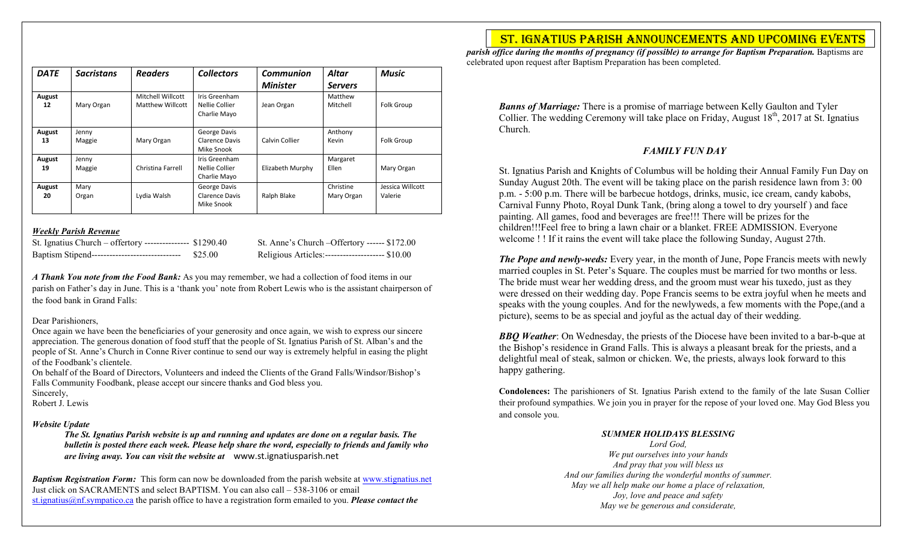| <b>DATE</b>  | <b>Sacristans</b> | <b>Readers</b>                        | <b>Collectors</b>                               | Communion<br><b>Minister</b> | <b>Altar</b><br><b>Servers</b> | <b>Music</b>                |
|--------------|-------------------|---------------------------------------|-------------------------------------------------|------------------------------|--------------------------------|-----------------------------|
| August<br>12 | Mary Organ        | Mitchell Willcott<br>Matthew Willcott | Iris Greenham<br>Nellie Collier<br>Charlie Mayo | Jean Organ                   | Matthew<br>Mitchell            | Folk Group                  |
| August<br>13 | Jenny<br>Maggie   | Mary Organ                            | George Davis<br>Clarence Davis<br>Mike Snook    | Calvin Collier               | Anthony<br>Kevin               | Folk Group                  |
| August<br>19 | Jenny<br>Maggie   | Christina Farrell                     | Iris Greenham<br>Nellie Collier<br>Charlie Mayo | Elizabeth Murphy             | Margaret<br>Ellen              | Mary Organ                  |
| August<br>20 | Mary<br>Organ     | Lydia Walsh                           | George Davis<br>Clarence Davis<br>Mike Snook    | Ralph Blake                  | Christine<br>Mary Organ        | Jessica Willcott<br>Valerie |

#### *Weekly Parish Revenue*

| St. Ignatius Church – offertory --------------- \$1290.40 |         |
|-----------------------------------------------------------|---------|
| Baptism Stipend-------------------------------            | \$25.00 |

St. Anne's Church – Offertory ------ \$172.00 Religious Articles:----------------------- \$10.00

*A Thank You note from the Food Bank:* As you may remember, we had a collection of food items in our parish on Father's day in June. This is a 'thank you' note from Robert Lewis who is the assistant chairperson of the food bank in Grand Falls:

#### Dear Parishioners,

Once again we have been the beneficiaries of your generosity and once again, we wish to express our sincere appreciation. The generous donation of food stuff that the people of St. Ignatius Parish of St. Alban's and the people of St. Anne's Church in Conne River continue to send our way is extremely helpful in easing the plight of the Foodbank's clientele.

On behalf of the Board of Directors, Volunteers and indeed the Clients of the Grand Falls/Windsor/Bishop's Falls Community Foodbank, please accept our sincere thanks and God bless you.

Sincerely,

Robert J. Lewis

## *Website Update*

*The St. Ignatius Parish website is up and running and updates are done on a regular basis. The bulletin is posted there each week. Please help share the word, especially to friends and family who are living away. You can visit the website at* www.st.ignatiusparish.net

*Baptism Registration Form:* This form can now be downloaded from the parish website at [www.stignatius.net](http://www.stignatius.net/) Just click on SACRAMENTS and select BAPTISM. You can also call – 538-3106 or email [st.ignatius@nf.sympatico.ca](mailto:st.ignatius@nf.sympatico.ca) the parish office to have a registration form emailed to you. *Please contact the* 

# St. IgnAtIuS PArISh AnnounceMentS And uPcoMIng eventS

*parish office during the months of pregnancy (if possible) to arrange for Baptism Preparation.* Baptisms are celebrated upon request after Baptism Preparation has been completed.

*Banns of Marriage:* There is a promise of marriage between Kelly Gaulton and Tyler Collier. The wedding Ceremony will take place on Friday, August  $18<sup>th</sup>$ , 2017 at St. Ignatius Church.

# *FAMILY FUN DAY*

St. Ignatius Parish and Knights of Columbus will be holding their Annual Family Fun Day on Sunday August 20th. The event will be taking place on the parish residence lawn from 3: 00 p.m. - 5:00 p.m. There will be barbecue hotdogs, drinks, music, ice cream, candy kabobs, Carnival Funny Photo, Royal Dunk Tank, (bring along a towel to dry yourself ) and face painting. All games, food and beverages are free!!! There will be prizes for the children!!!Feel free to bring a lawn chair or a blanket. FREE ADMISSION. Everyone welcome ! ! If it rains the event will take place the following Sunday, August 27th.

*The Pope and newly-weds:* Every year, in the month of June, Pope Francis meets with newly married couples in St. Peter's Square. The couples must be married for two months or less. The bride must wear her wedding dress, and the groom must wear his tuxedo, just as they were dressed on their wedding day. Pope Francis seems to be extra joyful when he meets and speaks with the young couples. And for the newlyweds, a few moments with the Pope,(and a picture), seems to be as special and joyful as the actual day of their wedding.

*BBQ Weather*: On Wednesday, the priests of the Diocese have been invited to a bar-b-que at the Bishop's residence in Grand Falls. This is always a pleasant break for the priests, and a delightful meal of steak, salmon or chicken. We, the priests, always look forward to this happy gathering.

**Condolences:** The parishioners of St. Ignatius Parish extend to the family of the late Susan Collier their profound sympathies. We join you in prayer for the repose of your loved one. May God Bless you and console you.

## *SUMMER HOLIDAYS BLESSING*

*Lord God, We put ourselves into your hands And pray that you will bless us And our families during the wonderful months of summer. May we all help make our home a place of relaxation, Joy, love and peace and safety May we be generous and considerate,*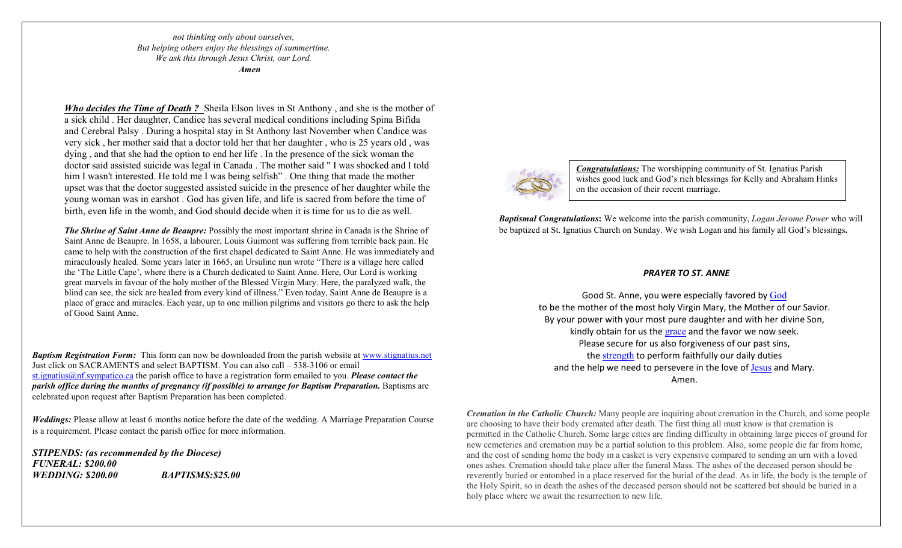*not thinking only about ourselves, But helping others enjoy the blessings of summertime. We ask this through Jesus Christ, our Lord. Amen*

*Who decides the Time of Death?* Sheila Elson lives in St Anthony, and she is the mother of a sick child . Her daughter, Candice has several medical conditions including Spina Bifida and Cerebral Palsy . During a hospital stay in St Anthony last November when Candice was very sick , her mother said that a doctor told her that her daughter , who is 25 years old , was dying , and that she had the option to end her life . In the presence of the sick woman the doctor said assisted suicide was legal in Canada . The mother said " I was shocked and I told him I wasn't interested. He told me I was being selfish" . One thing that made the mother upset was that the doctor suggested assisted suicide in the presence of her daughter while the young woman was in earshot . God has given life, and life is sacred from before the time of birth, even life in the womb, and God should decide when it is time for us to die as well.

*The Shrine of Saint Anne de Beaupre:* Possibly the most important shrine in Canada is the Shrine of Saint Anne de Beaupre. In 1658, a labourer, Louis Guimont was suffering from terrible back pain. He came to help with the construction of the first chapel dedicated to Saint Anne. He was immediately and miraculously healed. Some years later in 1665, an Ursuline nun wrote "There is a village here called the 'The Little Cape', where there is a Church dedicated to Saint Anne. Here, Our Lord is working great marvels in favour of the holy mother of the Blessed Virgin Mary. Here, the paralyzed walk, the blind can see, the sick are healed from every kind of illness." Even today, Saint Anne de Beaupre is a place of grace and miracles. Each year, up to one million pilgrims and visitors go there to ask the help of Good Saint Anne.

*Baptism Registration Form:* This form can now be downloaded from the parish website at [www.stignatius.net](http://www.stignatius.net/) Just click on SACRAMENTS and select BAPTISM. You can also call – 538-3106 or email [st.ignatius@nf.sympatico.ca](mailto:st.ignatius@nf.sympatico.ca) the parish office to have a registration form emailed to you. *Please contact the parish office during the months of pregnancy (if possible) to arrange for Baptism Preparation.* Baptisms are celebrated upon request after Baptism Preparation has been completed.

*Weddings:* Please allow at least 6 months notice before the date of the wedding. A Marriage Preparation Course is a requirement. Please contact the parish office for more information.

*STIPENDS: (as recommended by the Diocese) FUNERAL: \$200.00 WEDDING: \$200.00 BAPTISMS:\$25.00*

*Congratulations:* The worshipping community of St. Ignatius Parish wishes good luck and God's rich blessings for Kelly and Abraham Hinks on the occasion of their recent marriage.

*Baptismal Congratulations***:** We welcome into the parish community, *Logan Jerome Power* who will be baptized at St. Ignatius Church on Sunday. We wish Logan and his family all God's blessings**.**

#### *PRAYER TO ST. ANNE*

Good St. Anne, you were especially favored by [God](http://www.catholic.org/encyclopedia/view.php?id=5217) to be the mother of the most holy Virgin Mary, the Mother of our Savior. By your power with your most pure daughter and with her divine Son, kindly obtain for us the [grace](http://www.catholic.org/encyclopedia/view.php?id=5305) and the favor we now seek. Please secure for us also forgiveness of our past sins, the [strength](http://www.catholic.org/prayers/prayer.php?p=2917) to perform faithfully our daily duties and the help we need to persevere in the love of [Jesus](http://www.catholic.org/clife/jesus) and Mary. Amen.

*Cremation in the Catholic Church:* Many people are inquiring about cremation in the Church, and some people are choosing to have their body cremated after death. The first thing all must know is that cremation is permitted in the Catholic Church. Some large cities are finding difficulty in obtaining large pieces of ground for new cemeteries and cremation may be a partial solution to this problem. Also, some people die far from home, and the cost of sending home the body in a casket is very expensive compared to sending an urn with a loved ones ashes. Cremation should take place after the funeral Mass. The ashes of the deceased person should be reverently buried or entombed in a place reserved for the burial of the dead. As in life, the body is the temple of the Holy Spirit, so in death the ashes of the deceased person should not be scattered but should be buried in a holy place where we await the resurrection to new life.